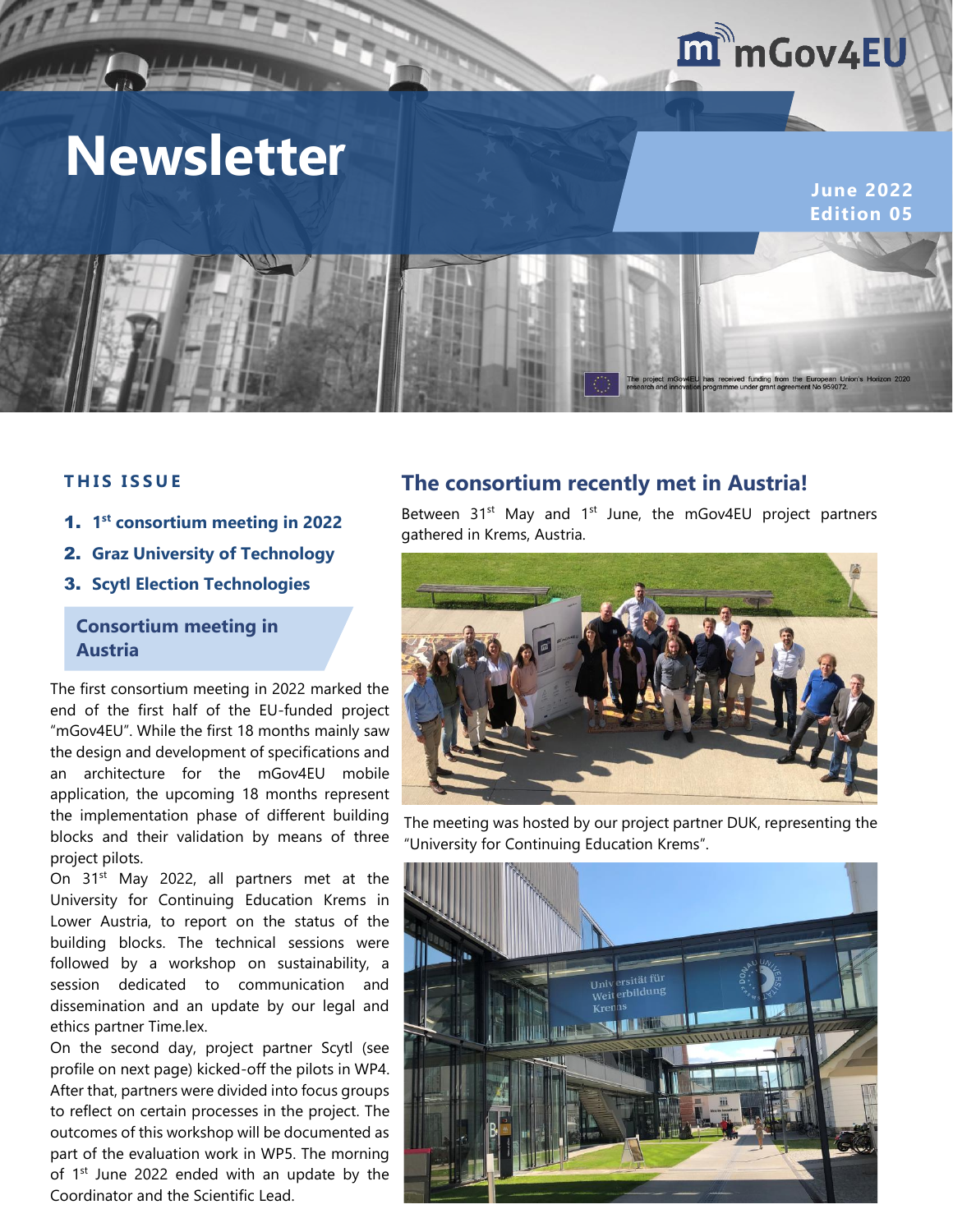## m mGov4EU

# **Newsletter**

**June 2022 Edition 05**



#### **T H I S I S S U E**

- 1. **1 st consortium meeting in 2022**
- 2. **Graz University of Technology**
- 3. **Scytl Election Technologies**

#### **Consortium meeting in Austria**

The first consortium meeting in 2022 marked the end of the first half of the EU-funded project "mGov4EU". While the first 18 months mainly saw the design and development of specifications and an architecture for the mGov4EU mobile application, the upcoming 18 months represent the implementation phase of different building blocks and their validation by means of three project pilots.

On 31<sup>st</sup> May 2022, all partners met at the University for Continuing Education Krems in Lower Austria, to report on the status of the building blocks. The technical sessions were followed by a workshop on sustainability, a session dedicated to communication and dissemination and an update by our legal and ethics partner Time.lex.

On the second day, project partner Scytl (see profile on next page) kicked-off the pilots in WP4. After that, partners were divided into focus groups to reflect on certain processes in the project. The outcomes of this workshop will be documented as part of the evaluation work in WP5. The morning of  $1<sup>st</sup>$  June 2022 ended with an update by the Coordinator and the Scientific Lead.

### **The consortium recently met in Austria!**

Between  $31^{st}$  May and  $1^{st}$  June, the mGov4EU project partners gathered in Krems, Austria.



The meeting was hosted by our project partner DUK, representing the "University for Continuing Education Krems".